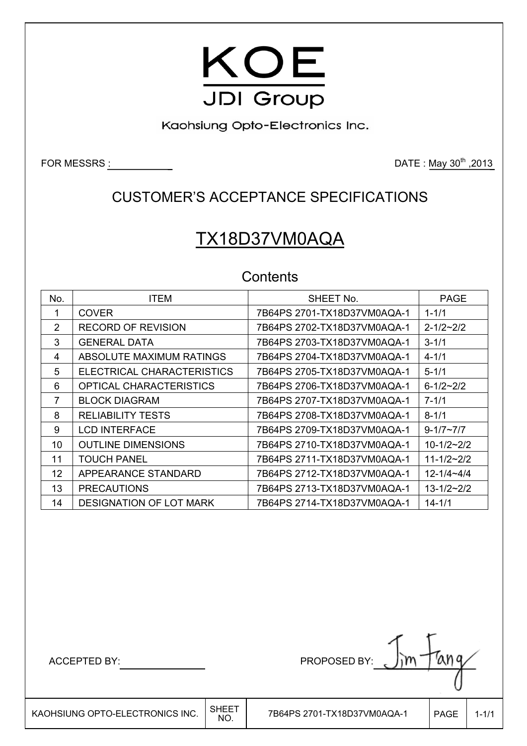

Kaohsiung Opto-Electronics Inc.

FOR MESSRS : DATE : May 30th ,2013

## CUSTOMER'S ACCEPTANCE SPECIFICATIONS

# TX18D37VM0AQA

## **Contents**

| No. | <b>ITEM</b>                    | SHEET No.                   | <b>PAGE</b>         |
|-----|--------------------------------|-----------------------------|---------------------|
| 1   | <b>COVER</b>                   | 7B64PS 2701-TX18D37VM0AQA-1 | $1 - 1/1$           |
| 2   | <b>RECORD OF REVISION</b>      | 7B64PS 2702-TX18D37VM0AQA-1 | $2 - 1/2 - 2/2$     |
| 3   | <b>GENERAL DATA</b>            | 7B64PS 2703-TX18D37VM0AQA-1 | $3 - 1/1$           |
| 4   | ABSOLUTE MAXIMUM RATINGS       | 7B64PS 2704-TX18D37VM0AQA-1 | $4 - 1/1$           |
| 5   | ELECTRICAL CHARACTERISTICS     | 7B64PS 2705-TX18D37VM0AQA-1 | $5 - 1/1$           |
| 6   | OPTICAL CHARACTERISTICS        |                             | $6 - 1/2 - 2/2$     |
|     | <b>BLOCK DIAGRAM</b>           | 7B64PS 2707-TX18D37VM0AQA-1 | $7 - 1/1$           |
| 8   | <b>RELIABILITY TESTS</b>       | 7B64PS 2708-TX18D37VM0AQA-1 | $8 - 1/1$           |
| 9   | <b>LCD INTERFACE</b>           | 7B64PS 2709-TX18D37VM0AQA-1 | $9 - 1/7 - 7/7$     |
| 10  | <b>OUTLINE DIMENSIONS</b>      | 7B64PS 2710-TX18D37VM0AQA-1 | $10-1/2-2/2$        |
| 11  | <b>TOUCH PANEL</b>             | 7B64PS 2711-TX18D37VM0AQA-1 | $11 - 1/2 \sim 2/2$ |
| 12  | APPEARANCE STANDARD            | 7B64PS 2712-TX18D37VM0AQA-1 | $12 - 1/4 - 4/4$    |
| 13  | <b>PRECAUTIONS</b>             | 7B64PS 2713-TX18D37VM0AQA-1 | $13 - 1/2 \sim 2/2$ |
| 14  | <b>DESIGNATION OF LOT MARK</b> | 7B64PS 2714-TX18D37VM0AQA-1 | $14 - 1/1$          |

 $\mathsf{I}$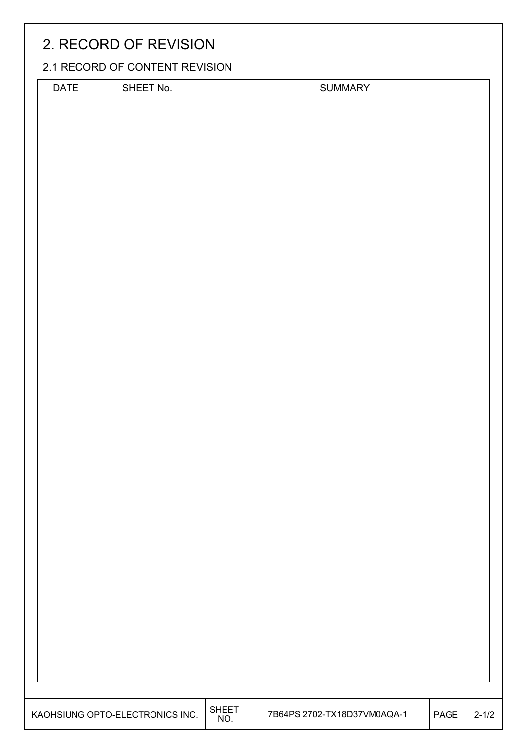## 2. RECORD OF REVISION

### 2.1 RECORD OF CONTENT REVISION

| <b>SHEET</b>                                                                  |           |
|-------------------------------------------------------------------------------|-----------|
| KAOHSIUNG OPTO-ELECTRONICS INC.<br>7B64PS 2702-TX18D37VM0AQA-1<br>PAGE<br>NO. | $2 - 1/2$ |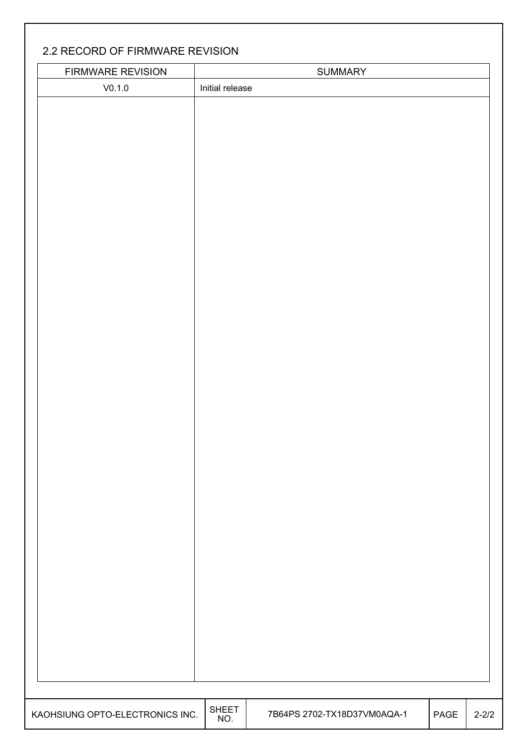### 2.2 RECORD OF FIRMWARE REVISION

| FIRMWARE REVISION               |                     | SUMMARY                     |      |           |
|---------------------------------|---------------------|-----------------------------|------|-----------|
| V0.1.0                          | Initial release     |                             |      |           |
|                                 |                     |                             |      |           |
|                                 |                     |                             |      |           |
|                                 |                     |                             |      |           |
|                                 |                     |                             |      |           |
|                                 |                     |                             |      |           |
|                                 |                     |                             |      |           |
|                                 |                     |                             |      |           |
|                                 |                     |                             |      |           |
|                                 |                     |                             |      |           |
|                                 |                     |                             |      |           |
|                                 |                     |                             |      |           |
|                                 |                     |                             |      |           |
|                                 |                     |                             |      |           |
|                                 |                     |                             |      |           |
|                                 |                     |                             |      |           |
|                                 |                     |                             |      |           |
|                                 |                     |                             |      |           |
|                                 |                     |                             |      |           |
|                                 |                     |                             |      |           |
|                                 |                     |                             |      |           |
|                                 |                     |                             |      |           |
|                                 |                     |                             |      |           |
|                                 |                     |                             |      |           |
|                                 |                     |                             |      |           |
|                                 |                     |                             |      |           |
|                                 |                     |                             |      |           |
|                                 |                     |                             |      |           |
|                                 |                     |                             |      |           |
|                                 |                     |                             |      |           |
|                                 |                     |                             |      |           |
|                                 |                     |                             |      |           |
|                                 |                     |                             |      |           |
|                                 |                     |                             |      |           |
|                                 |                     |                             |      |           |
|                                 |                     |                             |      |           |
|                                 |                     |                             |      |           |
|                                 |                     |                             |      |           |
|                                 |                     |                             |      |           |
|                                 |                     |                             |      |           |
|                                 |                     |                             |      |           |
|                                 |                     |                             |      |           |
|                                 |                     |                             |      |           |
|                                 |                     |                             |      |           |
|                                 |                     |                             |      |           |
|                                 |                     |                             |      |           |
|                                 |                     |                             |      |           |
| KAOHSIUNG OPTO-ELECTRONICS INC. | <b>SHEET</b><br>NO. | 7B64PS 2702-TX18D37VM0AQA-1 | PAGE | $2 - 2/2$ |
|                                 |                     |                             |      |           |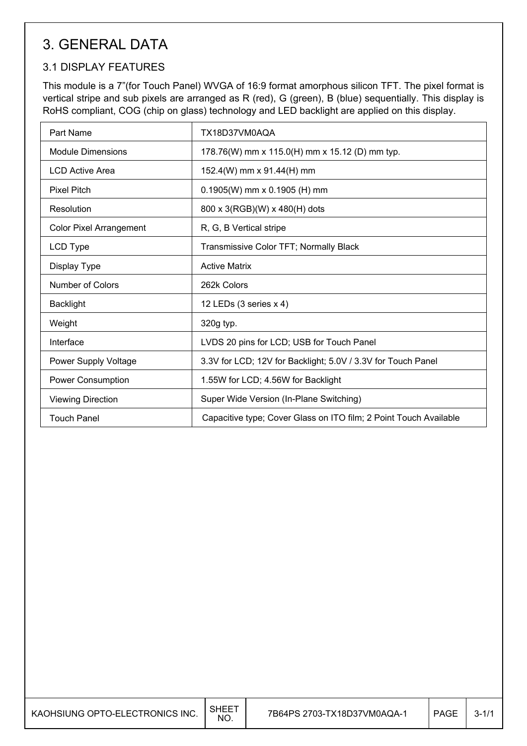## 3. GENERAL DATA

### 3.1 DISPLAY FEATURES

This module is a 7"(for Touch Panel) WVGA of 16:9 format amorphous silicon TFT. The pixel format is vertical stripe and sub pixels are arranged as R (red), G (green), B (blue) sequentially. This display is RoHS compliant, COG (chip on glass) technology and LED backlight are applied on this display.

| Part Name                      | TX18D37VM0AQA                                                     |
|--------------------------------|-------------------------------------------------------------------|
| <b>Module Dimensions</b>       | 178.76(W) mm x 115.0(H) mm x 15.12 (D) mm typ.                    |
| <b>LCD Active Area</b>         | 152.4(W) mm x 91.44(H) mm                                         |
| <b>Pixel Pitch</b>             | $0.1905(W)$ mm x 0.1905 (H) mm                                    |
| Resolution                     | 800 x 3(RGB)(W) x 480(H) dots                                     |
| <b>Color Pixel Arrangement</b> | R, G, B Vertical stripe                                           |
| LCD Type                       | Transmissive Color TFT; Normally Black                            |
| Display Type                   | <b>Active Matrix</b>                                              |
| <b>Number of Colors</b>        | 262k Colors                                                       |
| <b>Backlight</b>               | 12 LEDs (3 series x 4)                                            |
| Weight                         | 320g typ.                                                         |
| Interface                      | LVDS 20 pins for LCD; USB for Touch Panel                         |
| Power Supply Voltage           | 3.3V for LCD; 12V for Backlight; 5.0V / 3.3V for Touch Panel      |
| <b>Power Consumption</b>       | 1.55W for LCD; 4.56W for Backlight                                |
| <b>Viewing Direction</b>       | Super Wide Version (In-Plane Switching)                           |
| <b>Touch Panel</b>             | Capacitive type; Cover Glass on ITO film; 2 Point Touch Available |

| KAOHSIUNG OPTO-ELECTRONICS INC. | <b>SHEET</b><br>NO. | 7B64PS 2703-TX18D37VM0AQA-1 | <b>PAGE</b> | $3 - 1/1$ |
|---------------------------------|---------------------|-----------------------------|-------------|-----------|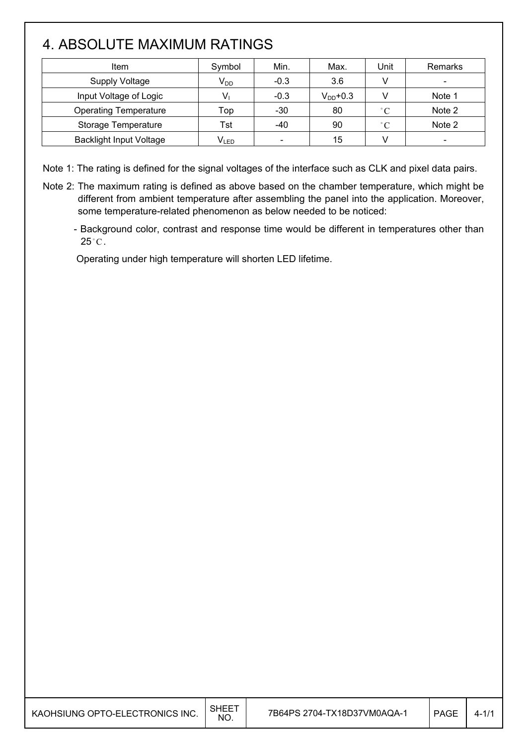## 4. ABSOLUTE MAXIMUM RATINGS

 $\mathsf{I}$ 

| Item                           | Symbol    | Min.                     | Max.          | Unit        | Remarks |
|--------------------------------|-----------|--------------------------|---------------|-------------|---------|
| <b>Supply Voltage</b>          | $V_{DD}$  | $-0.3$                   | 3.6           |             |         |
| Input Voltage of Logic         |           | $-0.3$                   | $V_{DD}$ +0.3 |             | Note 1  |
| <b>Operating Temperature</b>   | Top       | $-30$                    | 80            | $\degree$ C | Note 2  |
| Storage Temperature            | Tst       | -40                      | 90            | $\degree$ C | Note 2  |
| <b>Backlight Input Voltage</b> | $V_{LED}$ | $\overline{\phantom{a}}$ | 15            |             |         |

Note 1: The rating is defined for the signal voltages of the interface such as CLK and pixel data pairs.

- Note 2: The maximum rating is defined as above based on the chamber temperature, which might be different from ambient temperature after assembling the panel into the application. Moreover, some temperature-related phenomenon as below needed to be noticed:
	- Background color, contrast and response time would be different in temperatures other than  $25^{\circ}$ C.

Operating under high temperature will shorten LED lifetime.

| KAOHSIUNG OPTO-ELECTRONICS INC. | <b>SHEET</b><br>NO. | 7B64PS 2704-TX18D37VM0AQA-1 | <b>PAGE</b> | $4 - 1/1$ |
|---------------------------------|---------------------|-----------------------------|-------------|-----------|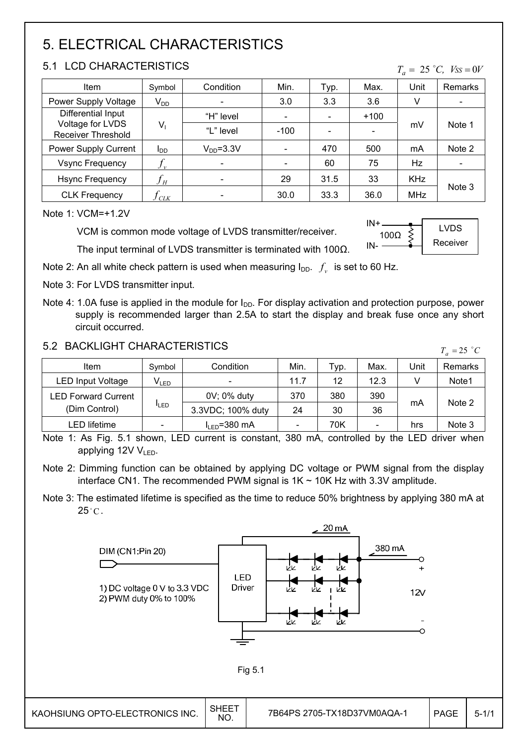## 5. ELECTRICAL CHARACTERISTICS

#### 5.1 LCD CHARACTERISTICS

| Item                                                   | Symbol                     | Condition  | Min. | Typ. | Max.   | Unit       | <b>Remarks</b> |  |
|--------------------------------------------------------|----------------------------|------------|------|------|--------|------------|----------------|--|
| Power Supply Voltage                                   | $V_{DD}$                   |            | 3.0  | 3.3  | 3.6    | v          |                |  |
| Differential Input                                     |                            | "H" level  |      |      | $+100$ |            |                |  |
| Voltage for LVDS<br>$V_1$<br><b>Receiver Threshold</b> | "L" level                  | $-100$     |      |      | mV     | Note 1     |                |  |
| Power Supply Current                                   | <b>I</b> <sub>DD</sub>     | $VDD=3.3V$ |      | 470  | 500    | mA         | Note 2         |  |
| <b>Vsync Frequency</b>                                 | $f_{\nu}$                  |            |      | 60   | 75     | Hz         |                |  |
| <b>Hsync Frequency</b>                                 | $f_{\scriptscriptstyle H}$ |            | 29   | 31.5 | 33     | <b>KHz</b> |                |  |
| <b>CLK Frequency</b>                                   | $\iota$ CLK                |            | 30.0 | 33.3 | 36.0   | MHz        | Note 3         |  |

Note 1: VCM=+1.2V

VCM is common mode voltage of LVDS transmitter/receiver.

 $IN + .$ IN- $100\Omega$ LVDS Receiver

 $T_a = 25$  °C,  $V_{SS} = 0V$ 

The input terminal of LVDS transmitter is terminated with 100 $\Omega$ .

Note 2: An all white check pattern is used when measuring  $I_{DD}$ .  $f_v$  is set to 60 Hz.

- Note 3: For LVDS transmitter input.
- Note 4: 1.0A fuse is applied in the module for  $I_{DD}$ . For display activation and protection purpose, power supply is recommended larger than 2.5A to start the display and break fuse once any short circuit occurred.

#### 5.2 BACKLIGHT CHARACTERISTICS

| <u>3.2 DAUNLIUM UMANAUTENISTIUS</u> |                             |                    |      |            |                          |      | $T_a = 25$ °C  |
|-------------------------------------|-----------------------------|--------------------|------|------------|--------------------------|------|----------------|
| Item                                | Symbol                      | Condition          | Min. | $\tau$ yp. | Max.                     | Unit | <b>Remarks</b> |
| <b>LED Input Voltage</b>            | $\mathsf{V}_{\mathsf{LED}}$ |                    | 11.7 | 12         | 12.3                     |      | Note1          |
| <b>LED Forward Current</b>          |                             | 0V; 0% duty        | 370  | 380        | 390                      |      |                |
| (Dim Control)                       | <b>ILED</b>                 | 3.3VDC; 100% duty  | 24   | 30         | 36                       | mA   | Note 2         |
| LED lifetime                        | $\overline{\phantom{a}}$    | $I_{LED} = 380$ mA |      | 70K        | $\overline{\phantom{a}}$ | hrs  | Note 3         |

Note 1: As Fig. 5.1 shown, LED current is constant, 380 mA, controlled by the LED driver when applying 12V  $V_{LED}$ .

Note 2: Dimming function can be obtained by applying DC voltage or PWM signal from the display interface CN1. The recommended PWM signal is  $1K \sim 10K$  Hz with 3.3V amplitude.

Note 3: The estimated lifetime is specified as the time to reduce 50% brightness by applying 380 mA at  $25^{\circ}$ C.

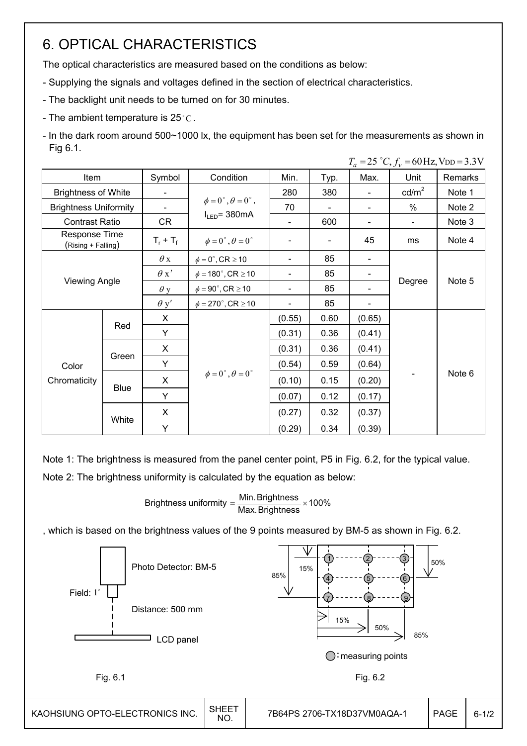## 6. OPTICAL CHARACTERISTICS

The optical characteristics are measured based on the conditions as below:

- Supplying the signals and voltages defined in the section of electrical characteristics.
- The backlight unit needs to be turned on for 30 minutes.
- The ambient temperature is 25 $\degree$ C.
- In the dark room around 500~1000 lx, the equipment has been set for the measurements as shown in Fig 6.1.  $T = 25 \degree C$ ,  $f = 60$  Hz, V<sub>DD</sub> = 3.3V

| Item                                |             | Symbol      | Condition                                | Min.   | Typ. | $-$ - $, \nu$<br>Max.        | Unit            | Remarks |
|-------------------------------------|-------------|-------------|------------------------------------------|--------|------|------------------------------|-----------------|---------|
| <b>Brightness of White</b>          |             |             |                                          | 280    | 380  | $\overline{\phantom{0}}$     | $\text{cd/m}^2$ | Note 1  |
| <b>Brightness Uniformity</b>        |             |             | $\phi = 0^{\circ}, \theta = 0^{\circ}$ , | 70     |      | $\qquad \qquad \blacksquare$ | %               | Note 2  |
| <b>Contrast Ratio</b>               |             | <b>CR</b>   | $I_{LED}$ = 380mA                        |        | 600  | -                            |                 | Note 3  |
| Response Time<br>(Rising + Falling) |             | $T_r + T_f$ | $\phi = 0^{\circ}, \theta = 0^{\circ}$   |        |      | 45                           | ms              | Note 4  |
|                                     |             | $\theta$ x  | $\phi = 0^\circ$ , CR $\geq 10$          |        | 85   |                              |                 |         |
|                                     |             |             | $\phi = 180^\circ$ , CR $\geq 10$        | -      | 85   | $\qquad \qquad \blacksquare$ |                 | Note 5  |
| <b>Viewing Angle</b>                |             | $\theta$ y  | $\phi = 90^\circ$ , CR $\geq 10$         | Ξ.     | 85   | Ξ.                           | Degree          |         |
|                                     |             |             | $\phi = 270^\circ$ , CR $\geq 10$        |        | 85   | $\qquad \qquad \blacksquare$ |                 |         |
|                                     | Red         | X           |                                          | (0.55) | 0.60 | (0.65)                       |                 |         |
|                                     |             | Y           |                                          | (0.31) | 0.36 | (0.41)                       |                 |         |
|                                     |             | X           |                                          | (0.31) | 0.36 | (0.41)                       |                 |         |
| Color                               | Green       | Y           |                                          | (0.54) | 0.59 | (0.64)                       |                 |         |
| Chromaticity                        | <b>Blue</b> | X           | $\phi = 0^{\circ}, \theta = 0^{\circ}$   | (0.10) | 0.15 | (0.20)                       |                 | Note 6  |
|                                     |             | Y           |                                          | (0.07) | 0.12 | (0.17)                       |                 |         |
|                                     |             | X           |                                          | (0.27) | 0.32 | (0.37)                       |                 |         |
|                                     | White       | Y           |                                          | (0.29) | 0.34 | (0.39)                       |                 |         |

Note 1: The brightness is measured from the panel center point, P5 in Fig. 6.2, for the typical value. Note 2: The brightness uniformity is calculated by the equation as below:

Brightness uniformity =  $\frac{\textsf{Min.~Brightness}}{\textsf{Max.~Brightness}}$  × 100%

, which is based on the brightness values of the 9 points measured by BM-5 as shown in Fig. 6.2.

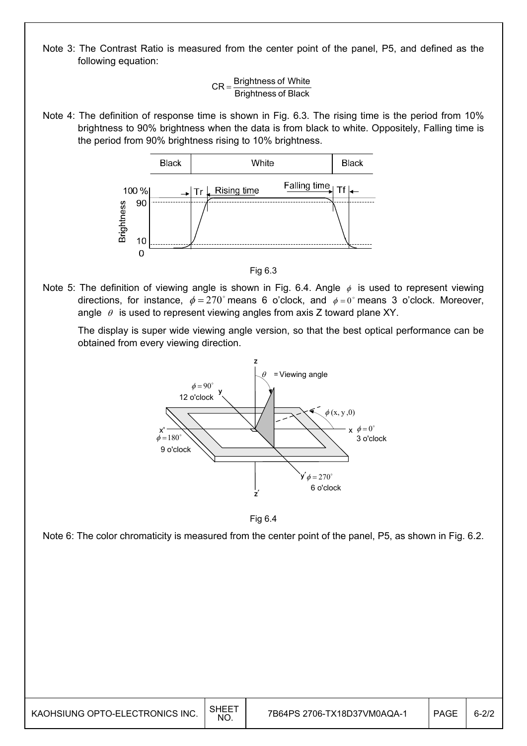Note 3: The Contrast Ratio is measured from the center point of the panel, P5, and defined as the following equation:



Note 4: The definition of response time is shown in Fig. 6.3. The rising time is the period from 10% brightness to 90% brightness when the data is from black to white. Oppositely, Falling time is the period from 90% brightness rising to 10% brightness.



Fig 6.3

Note 5: The definition of viewing angle is shown in Fig. 6.4. Angle  $\phi$  is used to represent viewing directions, for instance,  $\phi = 270^{\circ}$  means 6 o'clock, and  $\phi = 0^{\circ}$  means 3 o'clock. Moreover, angle  $\theta$  is used to represent viewing angles from axis Z toward plane XY.

 The display is super wide viewing angle version, so that the best optical performance can be obtained from every viewing direction.



Fig 6.4

Note 6: The color chromaticity is measured from the center point of the panel, P5, as shown in Fig. 6.2.

| KAOHSIUNG OPTO-ELECTRONICS INC. | <b>SHEET</b><br><b>NO</b> | 7B64PS 2706-TX18D37VM0AQA-1 | <b>PAGE</b> | $6 - 2/2$ |
|---------------------------------|---------------------------|-----------------------------|-------------|-----------|
|---------------------------------|---------------------------|-----------------------------|-------------|-----------|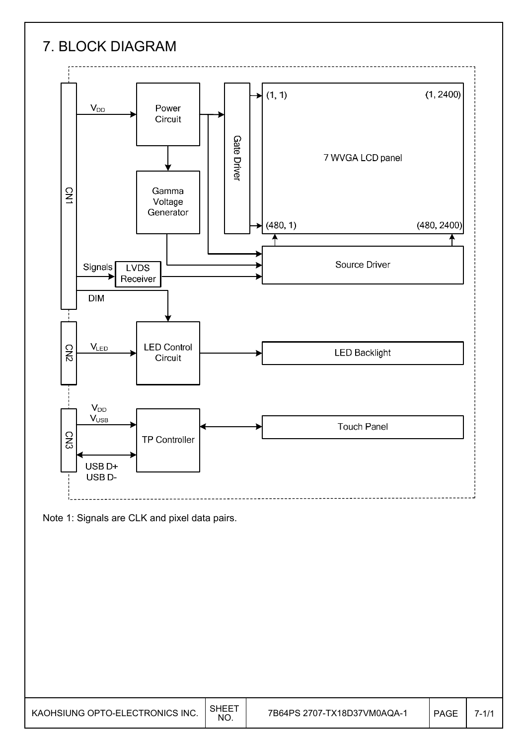# 7. BLOCK DIAGRAM



Note 1: Signals are CLK and pixel data pairs.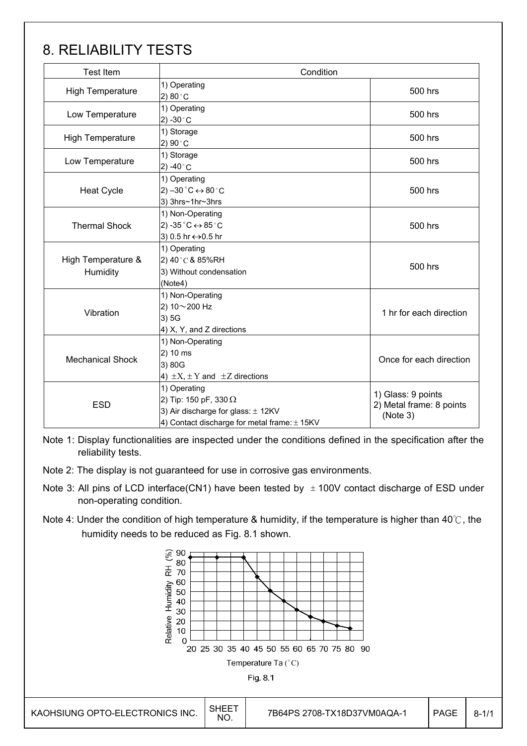## 8. RELIABILITY TESTS

| <b>Test Item</b>                                                                                                                                     | Condition                                                                                       |                                                            |  |  |
|------------------------------------------------------------------------------------------------------------------------------------------------------|-------------------------------------------------------------------------------------------------|------------------------------------------------------------|--|--|
| High Temperature                                                                                                                                     | 1) Operating<br>2) $80^{\circ}$ C                                                               | 500 hrs                                                    |  |  |
| 1) Operating<br>Low Temperature<br>2) -30 $^{\circ}$ C                                                                                               |                                                                                                 | 500 hrs                                                    |  |  |
| <b>High Temperature</b>                                                                                                                              | 1) Storage<br>2) 90 °C                                                                          | 500 hrs                                                    |  |  |
| Low Temperature                                                                                                                                      | 1) Storage<br>2) -40 $^{\circ}$ C                                                               | 500 hrs                                                    |  |  |
| <b>Heat Cycle</b>                                                                                                                                    | 1) Operating<br>2) $-30\degree C \leftrightarrow 80\degree C$<br>3) 3hrs~1hr~3hrs               | 500 hrs                                                    |  |  |
| <b>Thermal Shock</b>                                                                                                                                 | 1) Non-Operating<br>2) -35 $^{\circ}$ C $\leftrightarrow$ 85 $^{\circ}$ C<br>3) 0.5 hr ↔ 0.5 hr | 500 hrs                                                    |  |  |
| High Temperature &<br>Humidity                                                                                                                       | 1) Operating<br>2) 40°C & 85%RH<br>3) Without condensation<br>(Note4)                           | 500 hrs                                                    |  |  |
| Vibration                                                                                                                                            | 1) Non-Operating<br>2) 10~200 Hz<br>3)5G<br>4) X, Y, and Z directions                           | 1 hr for each direction                                    |  |  |
| <b>Mechanical Shock</b>                                                                                                                              | 1) Non-Operating<br>2) 10 ms<br>3) 80G<br>4) $\pm X$ , $\pm Y$ and $\pm Z$ directions           | Once for each direction                                    |  |  |
| 1) Operating<br>2) Tip: 150 pF, 330 $\Omega$<br><b>ESD</b><br>3) Air discharge for glass: ± 12KV<br>4) Contact discharge for metal frame: $\pm$ 15KV |                                                                                                 | 1) Glass: 9 points<br>2) Metal frame: 8 points<br>(Note 3) |  |  |

Note 1: Display functionalities are inspected under the conditions defined in the specification after the reliability tests.

Note 2: The display is not guaranteed for use in corrosive gas environments.

- Note 3: All pins of LCD interface(CN1) have been tested by  $\pm$  100V contact discharge of ESD under non-operating condition.
- Note 4: Under the condition of high temperature & humidity, if the temperature is higher than 40 $\degree$ , the humidity needs to be reduced as Fig. 8.1 shown.

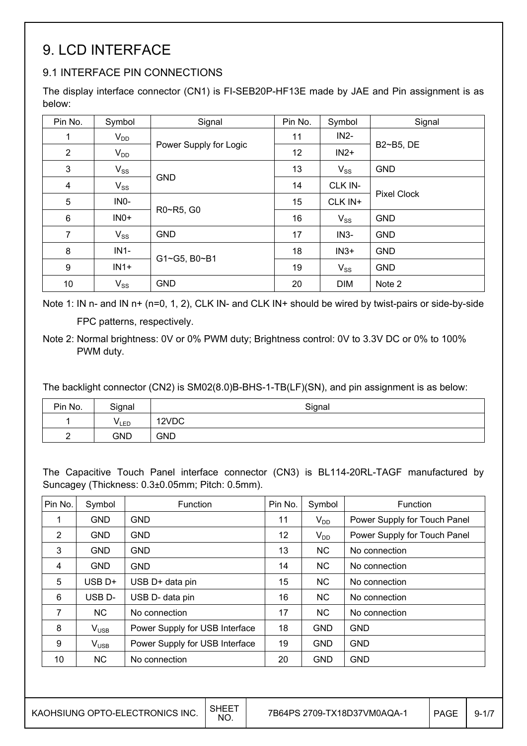## 9. LCD INTERFACE

### 9.1 INTERFACE PIN CONNECTIONS

The display interface connector (CN1) is FI-SEB20P-HF13E made by JAE and Pin assignment is as below:

| Pin No.          | Symbol   | Signal                 | Pin No. | Symbol     | Signal             |
|------------------|----------|------------------------|---------|------------|--------------------|
| 1                | $V_{DD}$ |                        | 11      | $IN2-$     | B2~B5, DE          |
| $\overline{2}$   | $V_{DD}$ | Power Supply for Logic | 12      | $IN2+$     |                    |
| $\mathfrak{B}$   | $V_{SS}$ |                        | 13      | $V_{SS}$   | <b>GND</b>         |
| 4                | $V_{SS}$ | <b>GND</b>             | 14      | CLK IN-    | <b>Pixel Clock</b> |
| 5                | INO-     | R0~R5, G0              | 15      | CLK IN+    |                    |
| $\,6$            | $INO+$   |                        | 16      | $V_{SS}$   | <b>GND</b>         |
| $\overline{7}$   | $V_{SS}$ | <b>GND</b>             | 17      | $IN3-$     | <b>GND</b>         |
| 8                | $IN1-$   | G1~G5, B0~B1           | 18      | $IN3+$     | <b>GND</b>         |
| $\boldsymbol{9}$ | $IN1+$   |                        | 19      | $V_{SS}$   | <b>GND</b>         |
| 10               | $V_{SS}$ | <b>GND</b>             | 20      | <b>DIM</b> | Note 2             |

Note 1: IN n- and IN n+ (n=0, 1, 2), CLK IN- and CLK IN+ should be wired by twist-pairs or side-by-side

FPC patterns, respectively.

The backlight connector (CN2) is SM02(8.0)B-BHS-1-TB(LF)(SN), and pin assignment is as below:

| Pin No. | Signal      | Signal     |
|---------|-------------|------------|
|         | <b>VLED</b> | 12VDC      |
| -       | <b>GND</b>  | <b>GND</b> |

The Capacitive Touch Panel interface connector (CN3) is BL114-20RL-TAGF manufactured by Suncagey (Thickness: 0.3±0.05mm; Pitch: 0.5mm).

| Pin No.        | Symbol                | Function                       | Pin No. | Symbol     | Function                     |
|----------------|-----------------------|--------------------------------|---------|------------|------------------------------|
| 1              | <b>GND</b>            | <b>GND</b>                     | 11      | $V_{DD}$   | Power Supply for Touch Panel |
| $\overline{2}$ | <b>GND</b>            | <b>GND</b>                     | 12      | $V_{DD}$   | Power Supply for Touch Panel |
| 3              | <b>GND</b>            | <b>GND</b>                     | 13      | NC.        | No connection                |
| 4              | <b>GND</b>            | <b>GND</b>                     | 14      | <b>NC</b>  | No connection                |
| 5              | USB <sub>D+</sub>     | USB D+ data pin                | 15      | <b>NC</b>  | No connection                |
| 6              | USB <sub>D</sub> -    | USB D- data pin                | 16      | <b>NC</b>  | No connection                |
| 7              | <b>NC</b>             | No connection                  | 17      | <b>NC</b>  | No connection                |
| 8              | $V_{\tiny{\sf{USE}}}$ | Power Supply for USB Interface | 18      | <b>GND</b> | <b>GND</b>                   |
| 9              | $V_{\text{USE}}$      | Power Supply for USB Interface | 19      | <b>GND</b> | <b>GND</b>                   |
| 10             | <b>NC</b>             | No connection                  | 20      | <b>GND</b> | <b>GND</b>                   |

Note 2: Normal brightness: 0V or 0% PWM duty; Brightness control: 0V to 3.3V DC or 0% to 100% PWM duty.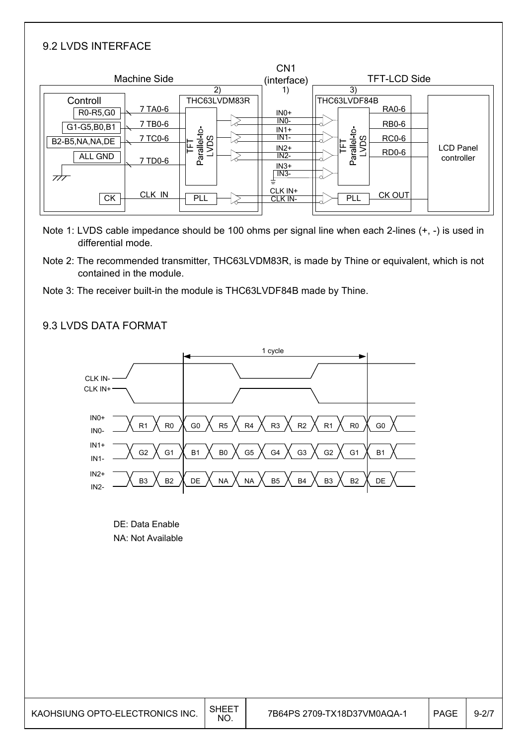#### 9.2 LVDS INTERFACE

| <b>Machine Side</b>                                                                                                                              |                                                     | CN <sub>1</sub><br>(interface)                                                                                      | <b>TFT-LCD Side</b>                                                                                                               |                                |
|--------------------------------------------------------------------------------------------------------------------------------------------------|-----------------------------------------------------|---------------------------------------------------------------------------------------------------------------------|-----------------------------------------------------------------------------------------------------------------------------------|--------------------------------|
| Controll<br>7 TA0-6<br>R0-R5, G0<br>7 TB0-6<br>G1-G5, B0, B1<br>7 TC0-6<br>B2-B5, NA, NA, DE<br>ALL GND<br>7 TD0-6<br>777<br>CLK IN<br><b>CK</b> | 2)<br>THC63LVDM83R<br>Parallel-to<br>δq<br>는<br>PLL | 1)<br>$INO+$<br>IN <sub>0</sub> -<br>$IN1+$<br>$IN1-$<br>$IN2+$<br>$IN2-$<br>$IN3+$<br>$IN3-$<br>CLK IN+<br>CLK IN- | 3)<br>THC63LVDF84B<br><b>RA0-6</b><br><b>RB0-6</b><br>Parallel-to-<br>LVDS<br><b>RC0-6</b><br>FT<br><b>RD0-6</b><br>CK OUT<br>PLL | <b>LCD Panel</b><br>controller |

- Note 1: LVDS cable impedance should be 100 ohms per signal line when each 2-lines (+, -) is used in differential mode.
- Note 2: The recommended transmitter, THC63LVDM83R, is made by Thine or equivalent, which is not contained in the module.
- Note 3: The receiver built-in the module is THC63LVDF84B made by Thine.

#### 9.3 LVDS DATA FORMAT



DE: Data Enable NA: Not Available

| KAOHSIUNG OPTO-ELECTRONICS INC. | <b>SHEET</b><br><b>NO</b> | 7B64PS 2709-TX18D37VM0AQA-1 | <b>PAGE</b> | $9 - 2/7$ |
|---------------------------------|---------------------------|-----------------------------|-------------|-----------|
|---------------------------------|---------------------------|-----------------------------|-------------|-----------|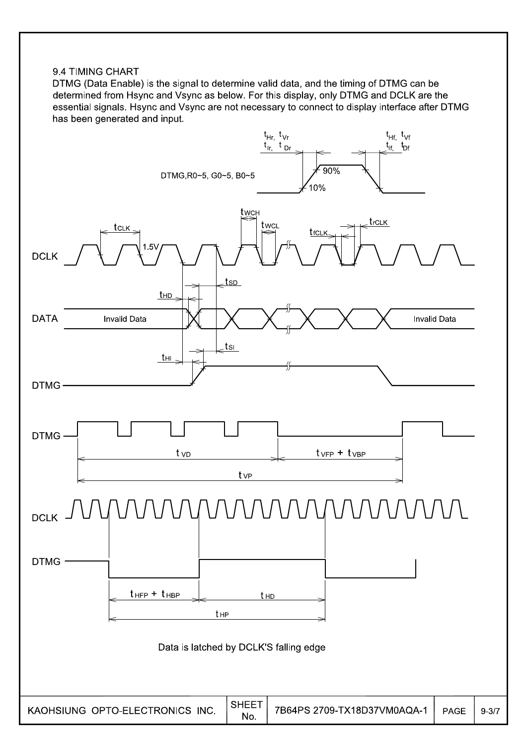#### 9.4 TIMING CHART

DTMG (Data Enable) is the signal to determine valid data, and the timing of DTMG can be determined from Hsync and Vsync as below. For this display, only DTMG and DCLK are the essential signals. Hsync and Vsync are not necessary to connect to display interface after DTMG has been generated and input.

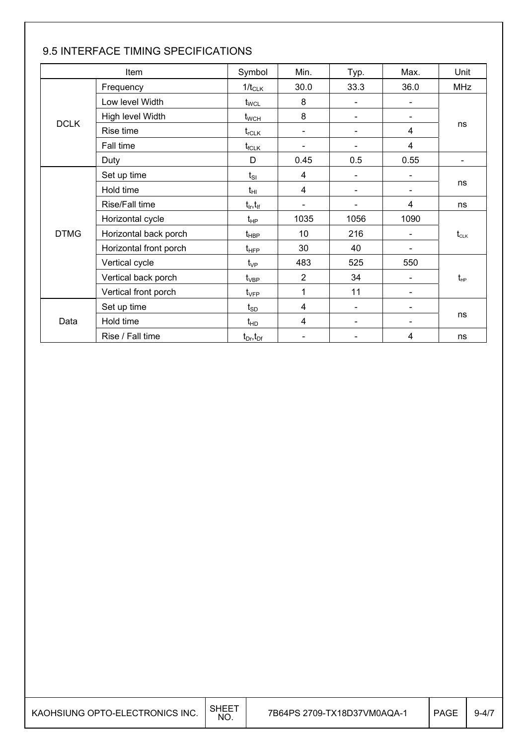|             | Item                   | Symbol                          | Min.                     | Typ.                     | Max.                         | Unit                                 |  |
|-------------|------------------------|---------------------------------|--------------------------|--------------------------|------------------------------|--------------------------------------|--|
|             | Frequency              | $1/t_{CLK}$                     | 30.0                     | 33.3                     | 36.0                         | <b>MHz</b>                           |  |
|             | Low level Width        | $t_{\scriptstyle\rm WCL}$       | 8                        | $\blacksquare$           | $\qquad \qquad \blacksquare$ |                                      |  |
|             | High level Width       | $t_{\scriptscriptstyle\rm WCH}$ | 8                        | $\blacksquare$           | $\qquad \qquad \blacksquare$ |                                      |  |
| <b>DCLK</b> | Rise time              | $t_{rCLK}$                      | $\overline{\phantom{a}}$ | $\overline{\phantom{a}}$ | 4                            | ns                                   |  |
|             | Fall time              | $t_{fCLK}$                      |                          |                          | $\overline{4}$               |                                      |  |
|             | Duty                   | D                               | 0.45                     | 0.5                      | 0.55                         | $\overline{\phantom{a}}$             |  |
|             | Set up time            | $t_{SI}$                        | 4                        |                          |                              |                                      |  |
|             | Hold time              | $t_{\rm HI}$                    | 4                        | $\blacksquare$           |                              | ns                                   |  |
|             | Rise/Fall time         | $t_{\text{lr}}, t_{\text{lf}}$  | $\blacksquare$           | $\blacksquare$           | 4                            | ns                                   |  |
|             | Horizontal cycle       | $t_{HP}$                        | 1035                     | 1056                     | 1090                         |                                      |  |
| <b>DTMG</b> | Horizontal back porch  | $t_{\sf HBP}$                   | 10                       | 216                      | $\qquad \qquad \blacksquare$ | $t_{\scriptscriptstyle{\text{CLK}}}$ |  |
|             | Horizontal front porch | $t_{\text{HFP}}$                | 30                       | 40                       | -                            |                                      |  |
|             | Vertical cycle         | $t_{\vee P}$                    | 483                      | 525                      | 550                          |                                      |  |
|             | Vertical back porch    | $t_{\rm VBP}$                   | $\overline{2}$           | 34                       |                              | $t_{\scriptscriptstyle{HP}}$         |  |
|             | Vertical front porch   | $t_{\rm VFP}$                   | 1                        | 11                       | $\overline{\phantom{0}}$     |                                      |  |
|             | Set up time            | $t_{SD}$                        | 4                        | $\blacksquare$           | $\overline{\phantom{0}}$     |                                      |  |
| Data        | Hold time              | $t_{HD}$                        | 4                        | $\blacksquare$           | $\overline{\phantom{0}}$     | ns                                   |  |
|             | Rise / Fall time       | $t_{Dr}$ , $t_{Dr}$             |                          |                          | 4                            | ns                                   |  |

### 9.5 INTERFACE TIMING SPECIFICATIONS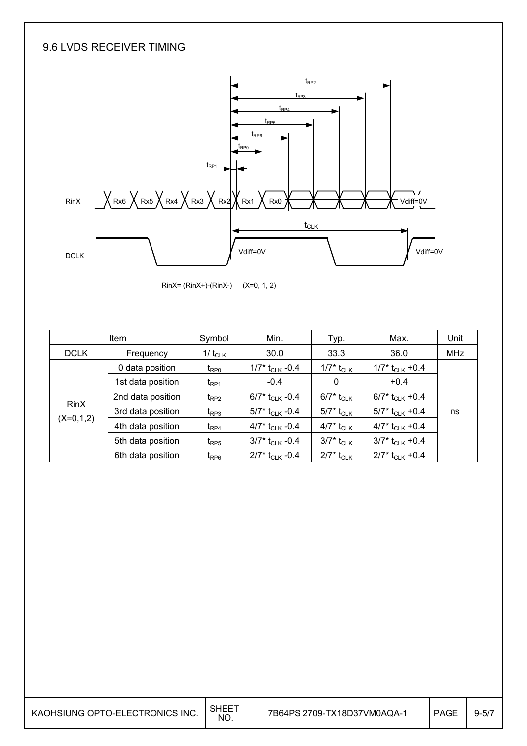### 9.6 LVDS RECEIVER TIMING



RinX= (RinX+)-(RinX-) (X=0, 1, 2)

| <b>Item</b> |                   | Symbol                      | Min.                          | Typ.                     | Max.                          | Unit       |
|-------------|-------------------|-----------------------------|-------------------------------|--------------------------|-------------------------------|------------|
| <b>DCLK</b> | Frequency         | 1/ $t_{CLK}$                | 30.0                          | 33.3                     | 36.0                          | <b>MHz</b> |
|             | 0 data position   | $t_{\text{RPO}}$            | 1/7* $t_{CLK}$ -0.4           | 1/7* t <sub>CLK</sub>    | $1/7$ * t <sub>CLK</sub> +0.4 |            |
|             | 1st data position | t <sub>RP1</sub>            | $-0.4$                        | 0                        | $+0.4$                        |            |
|             | 2nd data position | $t_{RP2}$                   | 6/7* $t_{CLK}$ -0.4           | 6/7* t <sub>CLK</sub>    | 6/7* t <sub>CLK</sub> +0.4    |            |
| <b>RinX</b> | 3rd data position | $t_{RP3}$                   | 5/7* t <sub>CLK</sub> -0.4    | $5/7^*$ t <sub>CLK</sub> | 5/7* $t_{CLK}$ +0.4           | ns         |
| $(X=0,1,2)$ | 4th data position | $t_{RP4}$                   | 4/7* $t_{CLK}$ -0.4           | 4/7* t <sub>CLK</sub>    | 4/7* $t_{CLK}$ +0.4           |            |
|             | 5th data position | $t_{RP5}$                   | $3/7$ * t <sub>CLK</sub> -0.4 | $3/7^*$ t <sub>CLK</sub> | $3/7$ * t <sub>CLK</sub> +0.4 |            |
|             | 6th data position | $t_{\mathsf{R}\mathsf{P}6}$ | $2/7$ * t <sub>CLK</sub> -0.4 | $2/7^*$ t <sub>CLK</sub> | $2/7$ * t <sub>CLK</sub> +0.4 |            |

| KAOHSIUNG OPTO-ELECTRONICS INC. SHEET |  |
|---------------------------------------|--|
|---------------------------------------|--|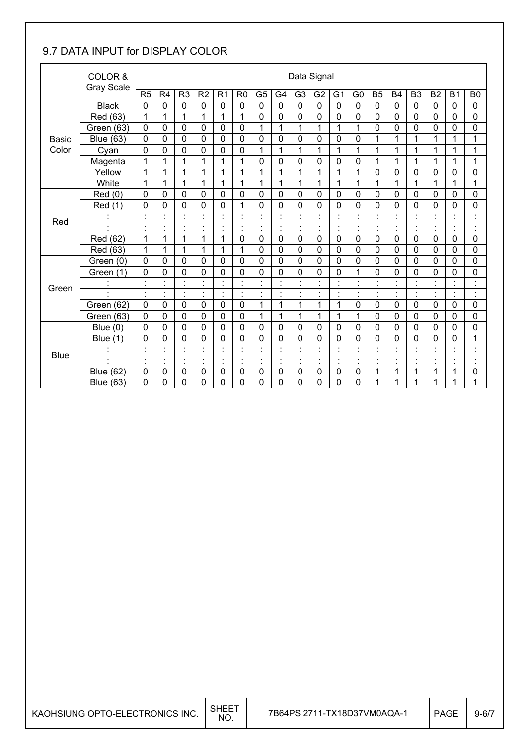### 9.7 DATA INPUT for DISPLAY COLOR

|              | COLOR &<br><b>Gray Scale</b> |                |                |                                     |                                     |                                 |                |                |                | Data Signal              |                |                      |                      |                                     |                |                |                                  |                                            |                                            |
|--------------|------------------------------|----------------|----------------|-------------------------------------|-------------------------------------|---------------------------------|----------------|----------------|----------------|--------------------------|----------------|----------------------|----------------------|-------------------------------------|----------------|----------------|----------------------------------|--------------------------------------------|--------------------------------------------|
|              |                              | R <sub>5</sub> | R <sub>4</sub> | R <sub>3</sub>                      | R <sub>2</sub>                      | R <sub>1</sub>                  | R <sub>0</sub> | G <sub>5</sub> | G4             | G <sub>3</sub>           | G <sub>2</sub> | G <sub>1</sub>       | G <sub>0</sub>       | <b>B5</b>                           | <b>B4</b>      | B <sub>3</sub> | B <sub>2</sub>                   | <b>B1</b>                                  | B <sub>0</sub>                             |
|              | <b>Black</b>                 | $\mathbf 0$    | $\mathbf 0$    | $\mathbf 0$                         | $\mathbf 0$                         | $\mathbf 0$                     | $\mathbf 0$    | $\mathbf 0$    | $\mathbf 0$    | $\mathbf 0$              | $\mathbf{0}$   | 0                    | $\mathbf 0$          | $\mathbf 0$                         | $\mathbf 0$    | $\mathbf 0$    | $\mathbf 0$                      | $\mathbf 0$                                | $\mathbf 0$                                |
|              | Red (63)                     | 1              | 1              | 1                                   | 1                                   | 1                               | 1              | $\mathbf 0$    | $\mathbf 0$    | 0                        | $\mathbf 0$    | 0                    | 0                    | 0                                   | 0              | 0              | 0                                | 0                                          | 0                                          |
|              | Green (63)                   | $\mathbf 0$    | 0              | $\mathbf 0$                         | $\mathbf 0$                         | 0                               | $\mathbf 0$    | 1              | 1              | 1                        | 1              | 1                    | 1                    | 0                                   | 0              | $\mathbf 0$    | 0                                | 0                                          | 0                                          |
| <b>Basic</b> | <b>Blue (63)</b>             | 0              | 0              | $\mathbf 0$                         | 0                                   | 0                               | $\mathbf 0$    | 0              | $\mathbf 0$    | 0                        | $\mathbf 0$    | 0                    | 0                    | 1                                   | 1              | 1              | 1                                | 1                                          | 1                                          |
| Color        | Cyan                         | $\mathbf 0$    | $\overline{0}$ | 0                                   | $\mathbf 0$                         | $\overline{0}$                  | $\mathbf 0$    | 1              | 1              | 1                        | 1              | 1                    | 1                    | 1                                   | 1              | 1              | 1                                | 1                                          | 1                                          |
|              | Magenta                      | 1              | 1              | 1                                   | 1                                   | 1                               | 1              | 0              | $\mathbf 0$    | 0                        | $\mathbf 0$    | 0                    | 0                    | 1                                   | 1              | 1              | 1                                | 1                                          | 1                                          |
|              | Yellow                       | 1              | 1              | $\mathbf{1}$                        | 1                                   | 1                               | 1              | $\mathbf 1$    | $\mathbf{1}$   | $\mathbf{1}$             | 1              | 1                    | 1                    | $\overline{0}$                      | 0              | $\mathbf 0$    | 0                                | 0                                          | 0                                          |
|              | White                        | 1              | 1              | 1                                   | 1                                   | 1                               | 1              | 1              | 1              | 1                        | 1              | 1                    | 1                    | 1                                   | 1              | 1              | 1                                | 1                                          | 1                                          |
|              | Red (0)                      | $\mathbf{0}$   | 0              | $\mathbf 0$                         | $\Omega$                            | $\overline{0}$                  | $\mathbf 0$    | 0              | $\mathbf 0$    | $\mathbf 0$              | $\mathbf 0$    | 0                    | $\overline{0}$       | 0                                   | 0              | $\mathbf 0$    | 0                                | $\mathbf 0$                                | $\overline{0}$                             |
|              | Red (1)                      | $\mathbf 0$    | 0              | 0                                   | 0                                   | 0                               | 1              | 0              | $\mathbf 0$    | 0                        | 0              | 0                    | 0                    | 0                                   | 0              | 0              | 0                                | 0                                          | 0                                          |
| Red          |                              | $\cdot$        | ٠              | $\cdot$                             |                                     | $\blacksquare$                  | $\blacksquare$ | $\blacksquare$ | $\cdot$        |                          | $\blacksquare$ | $\cdot$              | $\cdot$              | $\cdot$                             | $\cdot$        | $\cdot$        | $\blacksquare$                   | $\cdot$                                    | $\blacksquare$                             |
|              |                              |                | $\cdot$        | $\blacksquare$                      | $\blacksquare$                      | $\blacksquare$<br>×,            |                | $\blacksquare$ | $\blacksquare$ |                          |                | t                    | $\blacksquare$       | $\ddot{\phantom{a}}$                | $\ddot{\cdot}$ | $\blacksquare$ | $\blacksquare$<br>$\blacksquare$ | $\blacksquare$<br>ä,                       |                                            |
|              | Red (62)                     | 1              | 1              | $\mathbf{1}$                        | 1                                   | 1                               | $\mathbf 0$    | 0              | $\mathbf 0$    | $\overline{0}$           | $\mathbf 0$    | 0                    | $\overline{0}$       | 0                                   | 0              | $\mathbf 0$    | 0                                | $\overline{0}$                             | $\overline{0}$                             |
|              | Red (63)                     | 1              | 1              | 1                                   | 1                                   | 1                               | 1              | $\mathbf 0$    | $\mathbf 0$    | 0                        | 0              | 0                    | 0                    | 0                                   | 0              | 0              | 0                                | 0                                          | 0                                          |
|              | Green (0)                    | $\mathbf 0$    | $\mathbf 0$    | 0                                   | 0                                   | 0                               | $\mathbf 0$    | 0              | $\mathbf 0$    | 0                        | $\mathbf 0$    | 0                    | 0                    | 0                                   | 0              | $\mathbf 0$    | 0                                | 0                                          | 0                                          |
|              | Green (1)                    | 0              | 0              | 0                                   | 0                                   | 0                               | $\mathbf 0$    | 0              | $\mathbf 0$    | 0                        | 0              | 0                    | 1                    | 0                                   | 0              | 0              | 0                                | 0                                          | 0                                          |
| Green        |                              | $\cdot$        | ä,             | $\ddot{\phantom{a}}$                | $\cdot$                             | $\cdot$                         | l.             | ÷,             | $\cdot$        | $\overline{\phantom{a}}$ | $\blacksquare$ | $\ddot{\phantom{0}}$ | $\cdot$              | $\ddot{\phantom{0}}$                | $\cdot$        | $\cdot$        | $\blacksquare$                   | l.                                         | $\blacksquare$                             |
|              |                              |                | $\cdot$        | $\cdot$<br>$\overline{\phantom{a}}$ | $\cdot$<br>$\overline{\phantom{a}}$ | $\cdot$<br>$\ddot{\phantom{a}}$ |                | $\blacksquare$ | $\cdot$        | $\ddot{\phantom{a}}$     | $\blacksquare$ | $\blacksquare$       | $\cdot$<br>$\cdot$   | $\cdot$<br>$\overline{\phantom{a}}$ | $\cdot$        | $\cdot$        | $\blacksquare$<br>$\bullet$      | $\blacksquare$<br>$\overline{\phantom{a}}$ | $\blacksquare$<br>$\overline{\phantom{a}}$ |
|              | Green (62)                   | 0              | $\mathbf 0$    | $\mathbf 0$                         | $\mathbf 0$                         | 0                               | $\mathbf 0$    | 1              | 1              | 1                        | 1              | 1                    | 0                    | 0                                   | 0              | $\mathbf 0$    | 0                                | 0                                          | 0                                          |
|              | Green (63)                   | 0              | 0              | 0                                   | 0                                   | 0                               | $\mathbf 0$    | 1              | 1              | 1                        | 1              | 1                    | 1                    | 0                                   | 0              | 0              | 0                                | 0                                          | 0                                          |
|              | Blue $(0)$                   | $\Omega$       | 0              | $\overline{0}$                      | $\mathbf{0}$                        | $\overline{0}$                  | $\mathbf 0$    | $\mathbf 0$    | $\mathbf 0$    | $\mathbf 0$              | $\mathbf 0$    | 0                    | 0                    | $\overline{0}$                      | 0              | $\mathbf 0$    | 0                                | $\mathbf 0$                                | $\overline{0}$                             |
|              | Blue $(1)$                   | 0              | 0              | 0                                   | 0                                   | 0                               | 0              | 0              | $\mathbf 0$    | 0                        | 0              | 0                    | 0                    | 0                                   | 0              | 0              | 0                                | 0                                          | 1                                          |
| <b>Blue</b>  |                              | $\blacksquare$ | ٠              | $\cdot$                             |                                     |                                 | $\blacksquare$ | $\blacksquare$ | $\cdot$        |                          | $\blacksquare$ | $\cdot$              | $\ddot{\phantom{0}}$ | $\cdot$                             | $\cdot$        | $\cdot$        | $\blacksquare$                   |                                            |                                            |
|              |                              |                | $\blacksquare$ | $\cdot$                             | $\cdot$                             | $\cdot$<br>×,                   |                | $\blacksquare$ | $\cdot$        | $\cdot$                  | $\blacksquare$ | $\blacksquare$       | $\cdot$              | $\blacksquare$<br>ä,                | $\cdot$        | $\cdot$        | $\blacksquare$<br>×,             |                                            | $\blacksquare$                             |
|              | <b>Blue (62)</b>             | $\mathbf 0$    | $\mathbf 0$    | $\mathbf 0$                         | 0                                   | $\overline{0}$                  | $\mathbf 0$    | $\overline{0}$ | $\mathbf 0$    | $\overline{0}$           | $\mathbf 0$    | 0                    | $\overline{0}$       | 1                                   | $\mathbf{1}$   | 1              | 1                                | 1                                          | $\overline{0}$                             |
|              | <b>Blue (63)</b>             | 0              | 0              | 0                                   | 0                                   | 0                               | 0              | 0              | $\mathbf 0$    | 0                        | 0              | 0                    | 0                    | 1                                   | 1              | 1              | 1                                | 1                                          | 1                                          |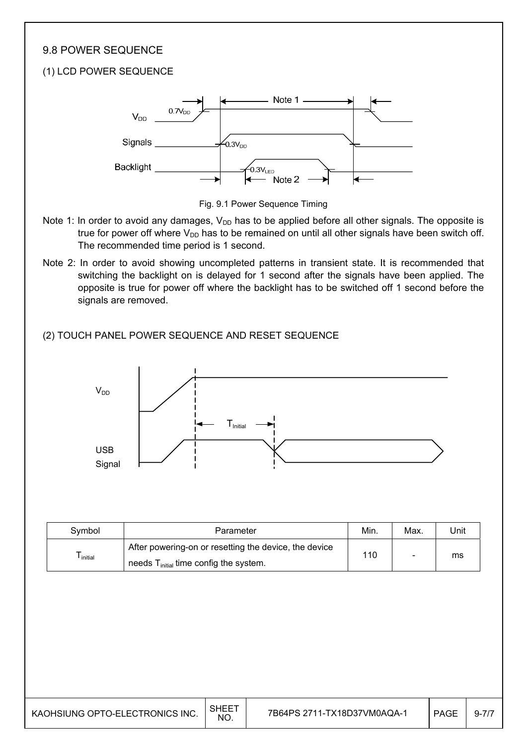#### 9.8 POWER SEQUENCE

#### (1) LCD POWER SEQUENCE





- Note 1: In order to avoid any damages,  $V_{DD}$  has to be applied before all other signals. The opposite is true for power off where  $V_{DD}$  has to be remained on until all other signals have been switch off. The recommended time period is 1 second.
- Note 2: In order to avoid showing uncompleted patterns in transient state. It is recommended that switching the backlight on is delayed for 1 second after the signals have been applied. The opposite is true for power off where the backlight has to be switched off 1 second before the signals are removed.

#### (2) TOUCH PANEL POWER SEQUENCE AND RESET SEQUENCE



| Svmbol               | Parameter                                             | Min. | Max. | Jnit |
|----------------------|-------------------------------------------------------|------|------|------|
|                      | After powering-on or resetting the device, the device | 110  |      |      |
| <sup>l</sup> initial | needs $T_{initial}$ time config the system.           |      |      | ms   |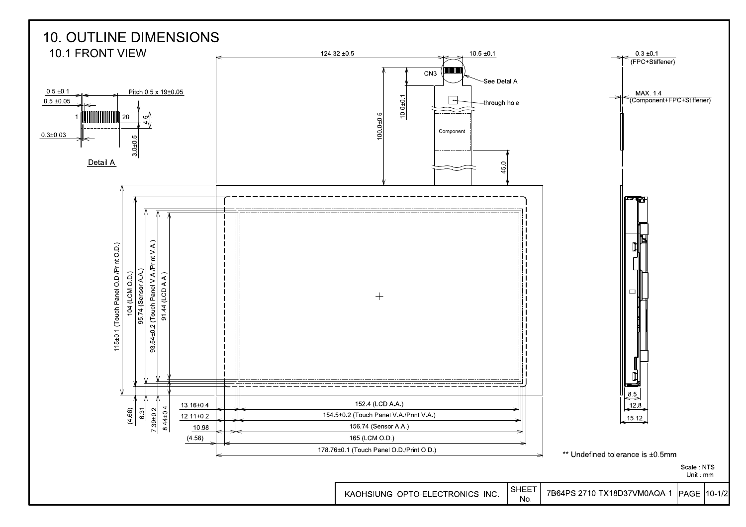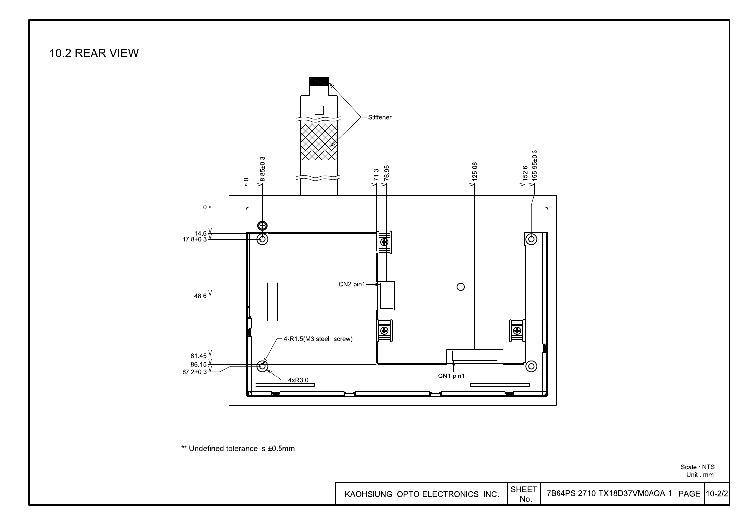

SHEET 7B64PS 2710-TX18D37VM0AQA-1 KAOHSIUNG OPTO-ELECTRONICS INC. PAGE 10-2/2 No.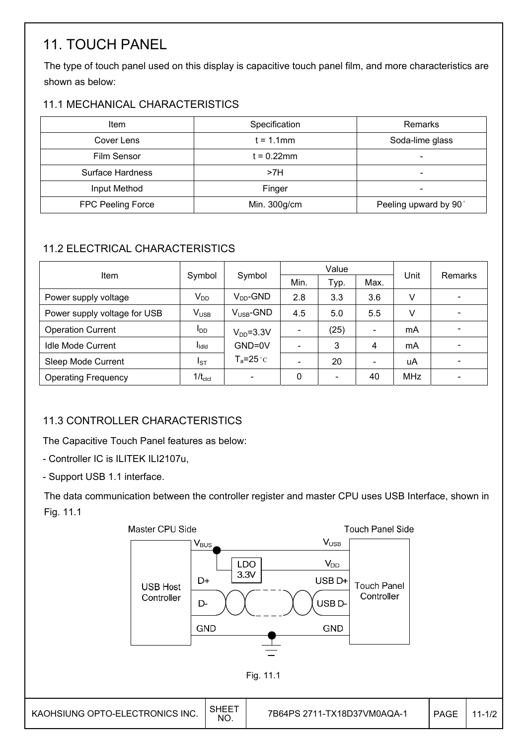## 11. TOUCH PANEL

The type of touch panel used on this display is capacitive touch panel film, and more characteristics are shown as below:

#### 11.1 MECHANICAL CHARACTERISTICS

| Item               | Specification | Remarks               |
|--------------------|---------------|-----------------------|
| Cover Lens         | $t = 1.1$ mm  | Soda-lime glass       |
| <b>Film Sensor</b> | t = 0.22mm    |                       |
| Surface Hardness   | >7H           | -                     |
| Input Method       | Finger        |                       |
| FPC Peeling Force  | Min. 300g/cm  | Peeling upward by 90° |

### 11.2 ELECTRICAL CHARACTERISTICS

|                              |                        |                        |                          | Value                        | Unit | Remarks    |  |  |
|------------------------------|------------------------|------------------------|--------------------------|------------------------------|------|------------|--|--|
| Item                         | Symbol                 | Symbol                 | Min.                     | Typ.                         | Max. |            |  |  |
| Power supply voltage         | $V_{DD}$               | $V_{DD}$ -GND          | 2.8                      | 3.3                          | 3.6  | V          |  |  |
| Power supply voltage for USB | $V_{\text{USE}}$       | $V_{\text{LISR}}$ -GND | 4.5                      | 5.0                          | 5.5  | v          |  |  |
| <b>Operation Current</b>     | <b>I</b> <sub>DD</sub> | $V_{DD} = 3.3V$        |                          | (25)                         |      | mA         |  |  |
| <b>Idle Mode Current</b>     | l <sub>idid</sub>      | GND=0V                 |                          | 3                            | 4    | mA         |  |  |
| Sleep Mode Current           | $I_{ST}$               | $T_a = 25^{\circ}C$    | $\overline{\phantom{0}}$ | 20                           |      | uA         |  |  |
| <b>Operating Frequency</b>   | $1/t_{\rm clcl}$       |                        | $\mathbf{0}$             | $\qquad \qquad \blacksquare$ | 40   | <b>MHz</b> |  |  |

### 11.3 CONTROLLER CHARACTERISTICS

The Capacitive Touch Panel features as below:

- Controller IC is ILITEK ILI2107u,

- Support USB 1.1 interface.

The data communication between the controller register and master CPU uses USB Interface, shown in Fig. 11.1

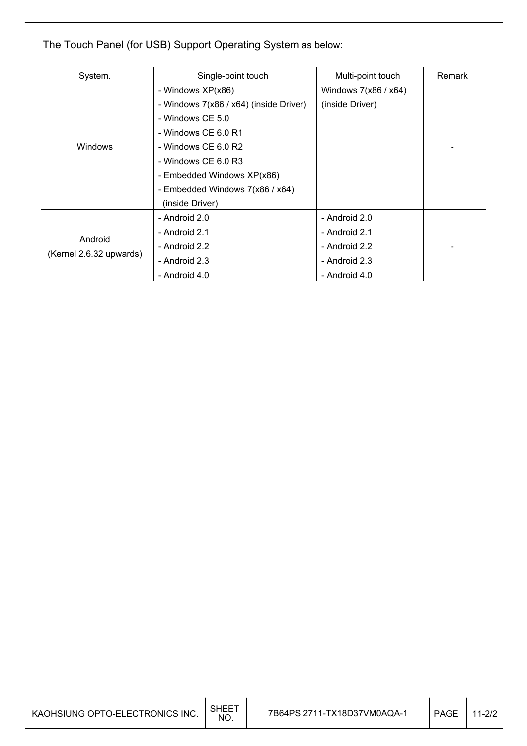### The Touch Panel (for USB) Support Operating System as below:

| System.                            | Single-point touch                     | Multi-point touch    | Remark |
|------------------------------------|----------------------------------------|----------------------|--------|
|                                    | - Windows XP(x86)                      | Windows 7(x86 / x64) |        |
|                                    | - Windows 7(x86 / x64) (inside Driver) | (inside Driver)      |        |
|                                    | - Windows CE 5.0                       |                      |        |
|                                    | - Windows CE 6.0 R1                    |                      |        |
| Windows                            | - Windows CE 6.0 R2                    |                      |        |
|                                    | - Windows CE 6.0 R3                    |                      |        |
|                                    | - Embedded Windows XP(x86)             |                      |        |
|                                    | - Embedded Windows 7(x86 / x64)        |                      |        |
|                                    | (inside Driver)                        |                      |        |
|                                    | - Android 2.0                          | - Android 2.0        |        |
| Android<br>(Kernel 2.6.32 upwards) | - Android 2.1                          | - Android 2.1        |        |
|                                    | - Android 2.2                          | - Android 2.2        |        |
|                                    | - Android 2.3                          | - Android 2.3        |        |
|                                    | - Android 4.0                          | - Android 4.0        |        |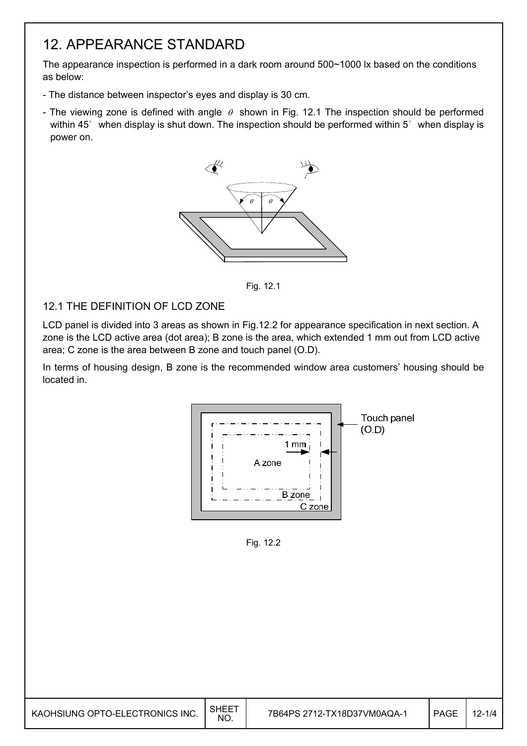## 12. APPEARANCE STANDARD

The appearance inspection is performed in a dark room around 500~1000 lx based on the conditions as below:

- The distance between inspector's eyes and display is 30 cm.
- The viewing zone is defined with angle  $\theta$  shown in Fig. 12.1 The inspection should be performed within  $45^\circ$  when display is shut down. The inspection should be performed within  $5^\circ$  when display is power on.



Fig. 12.1

#### 12.1 THE DEFINITION OF LCD ZONE

LCD panel is divided into 3 areas as shown in Fig.12.2 for appearance specification in next section. A zone is the LCD active area (dot area); B zone is the area, which extended 1 mm out from LCD active area; C zone is the area between B zone and touch panel (O.D).

In terms of housing design, B zone is the recommended window area customers' housing should be located in.



Fig. 12.2

| KAOHSIUNG OPTO-ELECTRONICS INC. | <b>SHEET</b><br>NO. | 7B64PS 2712-TX18D37VM0AQA-1 | <b>PAGE</b> | $12 - 1/4$ |
|---------------------------------|---------------------|-----------------------------|-------------|------------|
|---------------------------------|---------------------|-----------------------------|-------------|------------|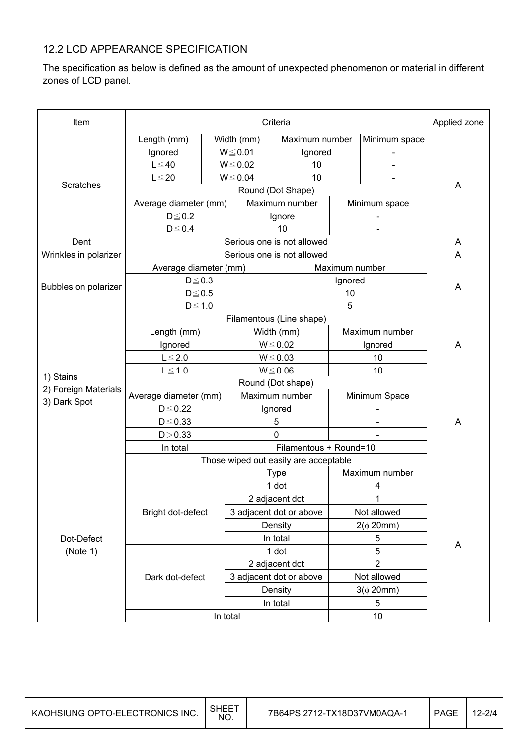### 12.2 LCD APPEARANCE SPECIFICATION

The specification as below is defined as the amount of unexpected phenomenon or material in different zones of LCD panel.

| Item                                 | Criteria              |  |                 |                                       |                | Applied zone             |   |  |
|--------------------------------------|-----------------------|--|-----------------|---------------------------------------|----------------|--------------------------|---|--|
|                                      | Length (mm)           |  | Width (mm)      | Maximum number                        |                | Minimum space            |   |  |
|                                      | Ignored               |  | $W \le 0.01$    | Ignored                               |                | $\overline{\phantom{a}}$ |   |  |
|                                      | $L \leq 40$           |  | $W\!\leq\!0.02$ | 10                                    |                | $\overline{\phantom{a}}$ |   |  |
|                                      | $L \leq 20$           |  | $W \le 0.04$    | 10                                    |                |                          |   |  |
| Scratches                            |                       |  |                 | Round (Dot Shape)                     |                |                          | A |  |
|                                      | Average diameter (mm) |  |                 | Maximum number                        |                | Minimum space            |   |  |
|                                      | $D \leq 0.2$          |  |                 | Ignore                                |                | $\blacksquare$           |   |  |
|                                      | $D \le 0.4$           |  |                 | 10                                    |                |                          |   |  |
| Dent                                 |                       |  |                 | Serious one is not allowed            |                |                          | A |  |
| Wrinkles in polarizer                |                       |  |                 | Serious one is not allowed            |                |                          | A |  |
|                                      | Average diameter (mm) |  |                 |                                       | Maximum number |                          |   |  |
|                                      | $D \le 0.3$           |  |                 |                                       | Ignored        |                          |   |  |
| Bubbles on polarizer                 | $D\!\leq\!0.5$        |  |                 |                                       | 10             |                          | A |  |
|                                      | $D\!\leq\!1.0$        |  |                 |                                       | 5              |                          |   |  |
|                                      |                       |  |                 | Filamentous (Line shape)              |                |                          |   |  |
|                                      | Length (mm)           |  |                 | Width (mm)                            |                | Maximum number           |   |  |
|                                      | Ignored               |  | $W \le 0.02$    |                                       | Ignored        |                          | A |  |
|                                      | $L \leq 2.0$          |  |                 | $W \le 0.03$                          |                | 10                       |   |  |
|                                      | $L \leq 1.0$          |  |                 | $W \le 0.06$                          |                | 10                       |   |  |
| 1) Stains                            | Round (Dot shape)     |  |                 |                                       |                |                          |   |  |
| 2) Foreign Materials<br>3) Dark Spot | Average diameter (mm) |  |                 | Maximum number                        |                | Minimum Space            |   |  |
|                                      | $D \leq 0.22$         |  |                 | Ignored                               |                |                          |   |  |
|                                      | $D \leq 0.33$         |  | 5               |                                       |                |                          | A |  |
|                                      | D > 0.33              |  |                 | 0                                     |                |                          |   |  |
|                                      | In total              |  |                 | Filamentous + Round=10                |                |                          |   |  |
|                                      |                       |  |                 | Those wiped out easily are acceptable |                |                          |   |  |
|                                      |                       |  |                 | <b>Type</b>                           |                | Maximum number           |   |  |
|                                      |                       |  |                 | 1 dot                                 |                | 4                        |   |  |
|                                      |                       |  |                 | 2 adjacent dot                        |                | 1                        |   |  |
|                                      | Bright dot-defect     |  |                 | 3 adjacent dot or above               |                | Not allowed              |   |  |
|                                      |                       |  |                 | Density                               |                | $2(\phi 20mm)$           |   |  |
| Dot-Defect                           |                       |  |                 | In total                              |                | 5                        | A |  |
| (Note 1)                             |                       |  |                 | 1 dot                                 |                | 5                        |   |  |
|                                      |                       |  |                 | 2 adjacent dot                        |                | $\overline{2}$           |   |  |
|                                      | Dark dot-defect       |  |                 | 3 adjacent dot or above               |                | Not allowed              |   |  |
|                                      |                       |  |                 | Density                               |                | $3(\phi 20mm)$           |   |  |
|                                      |                       |  |                 | In total                              |                | 5                        |   |  |
|                                      | In total              |  |                 |                                       | 10             |                          |   |  |
|                                      |                       |  |                 |                                       |                |                          |   |  |
|                                      |                       |  |                 |                                       |                |                          |   |  |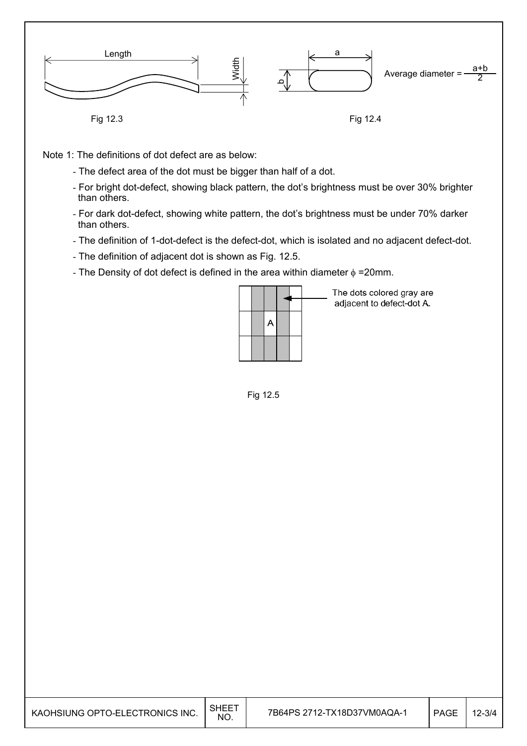

Note 1: The definitions of dot defect are as below:

- The defect area of the dot must be bigger than half of a dot.
- For bright dot-defect, showing black pattern, the dot's brightness must be over 30% brighter than others.
- For dark dot-defect, showing white pattern, the dot's brightness must be under 70% darker than others.
- The definition of 1-dot-defect is the defect-dot, which is isolated and no adjacent defect-dot.
- The definition of adjacent dot is shown as Fig. 12.5.
- The Density of dot defect is defined in the area within diameter  $\phi$  =20mm.

| A |  |
|---|--|
|   |  |
|   |  |

The dots colored gray are adjacent to defect-dot A.

Fig 12.5

| KAOHSIUNG OPTO-ELECTRONICS INC. | SHEET<br>NO. | 7B64PS 2712-TX18D37VM0AQA-1 | <b>PAGE</b> | .2-3/4 |
|---------------------------------|--------------|-----------------------------|-------------|--------|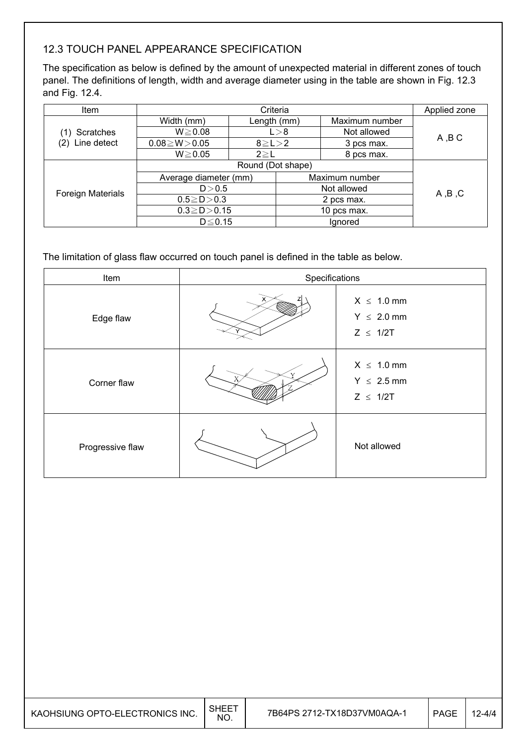### 12.3 TOUCH PANEL APPEARANCE SPECIFICATION

The specification as below is defined by the amount of unexpected material in different zones of touch panel. The definitions of length, width and average diameter using in the table are shown in Fig. 12.3 and Fig. 12.4.

| <b>Item</b>       | Criteria              |               |                | Applied zone |         |                |  |
|-------------------|-----------------------|---------------|----------------|--------------|---------|----------------|--|
|                   | Width (mm)            | Length (mm)   |                |              |         | Maximum number |  |
| Scratches         | $W \ge 0.08$          | L > 8         |                | Not allowed  | A, B C  |                |  |
| Line detect       | $0.08 \ge W > 0.05$   | $8 \ge L > 2$ |                | 3 pcs max.   |         |                |  |
|                   | $W \ge 0.05$          | $2 \geq L$    |                | 8 pcs max.   |         |                |  |
|                   | Round (Dot shape)     |               |                |              |         |                |  |
|                   | Average diameter (mm) |               | Maximum number |              |         |                |  |
| Foreign Materials | D > 0.5               |               |                | Not allowed  | A, B, C |                |  |
|                   | $0.5 \ge D > 0.3$     |               | 2 pcs max.     |              |         |                |  |
|                   | $0.3 \ge D > 0.15$    |               | 10 pcs max.    |              |         |                |  |
|                   | $D \leq 0.15$         |               |                | Ignored      |         |                |  |

The limitation of glass flaw occurred on touch panel is defined in the table as below.

| Item             | Specifications |                                                     |  |
|------------------|----------------|-----------------------------------------------------|--|
| Edge flaw        |                | $X \leq 1.0$ mm<br>$Y \leq 2.0$ mm<br>$Z \leq 1/2T$ |  |
| Corner flaw      | $\overline{X}$ | $X \leq 1.0$ mm<br>$Y \leq 2.5$ mm<br>$Z \leq 1/2T$ |  |
| Progressive flaw |                | Not allowed                                         |  |

| KAOHSIUNG OPTO-ELECTRONICS INC. | SHEE <sup>-</sup><br><b>NO</b> | 7B64PS 2712-TX18D37VM0AQA-1 | <b>PAGE</b> | $12 - 4/4$ |
|---------------------------------|--------------------------------|-----------------------------|-------------|------------|
|---------------------------------|--------------------------------|-----------------------------|-------------|------------|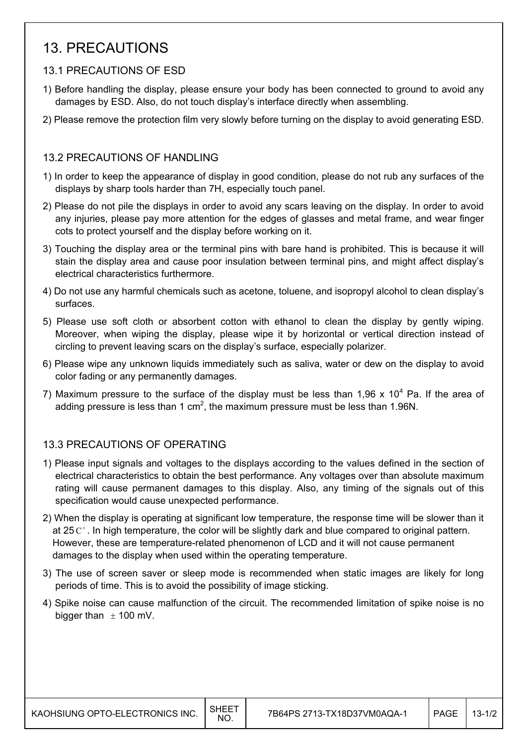## 13. PRECAUTIONS

#### 13.1 PRECAUTIONS OF ESD

- 1) Before handling the display, please ensure your body has been connected to ground to avoid any damages by ESD. Also, do not touch display's interface directly when assembling.
- 2) Please remove the protection film very slowly before turning on the display to avoid generating ESD.

#### 13.2 PRECAUTIONS OF HANDLING

- 1) In order to keep the appearance of display in good condition, please do not rub any surfaces of the displays by sharp tools harder than 7H, especially touch panel.
- 2) Please do not pile the displays in order to avoid any scars leaving on the display. In order to avoid any injuries, please pay more attention for the edges of glasses and metal frame, and wear finger cots to protect yourself and the display before working on it.
- 3) Touching the display area or the terminal pins with bare hand is prohibited. This is because it will stain the display area and cause poor insulation between terminal pins, and might affect display's electrical characteristics furthermore.
- 4) Do not use any harmful chemicals such as acetone, toluene, and isopropyl alcohol to clean display's surfaces.
- 5) Please use soft cloth or absorbent cotton with ethanol to clean the display by gently wiping. Moreover, when wiping the display, please wipe it by horizontal or vertical direction instead of circling to prevent leaving scars on the display's surface, especially polarizer.
- 6) Please wipe any unknown liquids immediately such as saliva, water or dew on the display to avoid color fading or any permanently damages.
- 7) Maximum pressure to the surface of the display must be less than 1,96 x 10<sup>4</sup> Pa. If the area of adding pressure is less than 1 cm<sup>2</sup>, the maximum pressure must be less than 1.96N.

#### 13.3 PRECAUTIONS OF OPERATING

- 1) Please input signals and voltages to the displays according to the values defined in the section of electrical characteristics to obtain the best performance. Any voltages over than absolute maximum rating will cause permanent damages to this display. Also, any timing of the signals out of this specification would cause unexpected performance.
- 2) When the display is operating at significant low temperature, the response time will be slower than it at 25  $\mathrm{C}^{\circ}$ . In high temperature, the color will be slightly dark and blue compared to original pattern. However, these are temperature-related phenomenon of LCD and it will not cause permanent damages to the display when used within the operating temperature.
- 3) The use of screen saver or sleep mode is recommended when static images are likely for long periods of time. This is to avoid the possibility of image sticking.
- 4) Spike noise can cause malfunction of the circuit. The recommended limitation of spike noise is no bigger than  $\pm$  100 mV.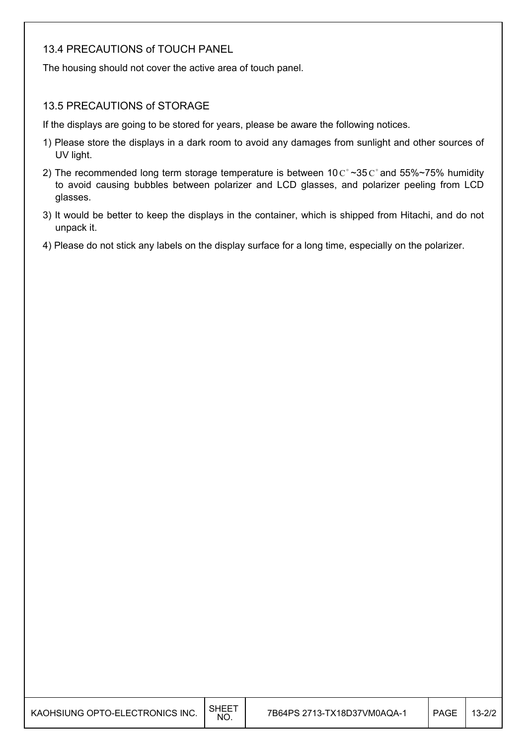#### 13.4 PRECAUTIONS of TOUCH PANEL

The housing should not cover the active area of touch panel.

#### 13.5 PRECAUTIONS of STORAGE

If the displays are going to be stored for years, please be aware the following notices.

- 1) Please store the displays in a dark room to avoid any damages from sunlight and other sources of UV light.
- 2) The recommended long term storage temperature is between  $10 \degree \degree 35 \degree \degree$  and 55%~75% humidity to avoid causing bubbles between polarizer and LCD glasses, and polarizer peeling from LCD glasses.
- 3) It would be better to keep the displays in the container, which is shipped from Hitachi, and do not unpack it.
- 4) Please do not stick any labels on the display surface for a long time, especially on the polarizer.

| KAOHSIUNG OPTO-ELECTRONICS INC. | <b>SHEET</b><br>NO. | 7B64PS 2713-TX18D37VM0AQA-1 | <b>PAGE</b> | 13-2/2 |
|---------------------------------|---------------------|-----------------------------|-------------|--------|